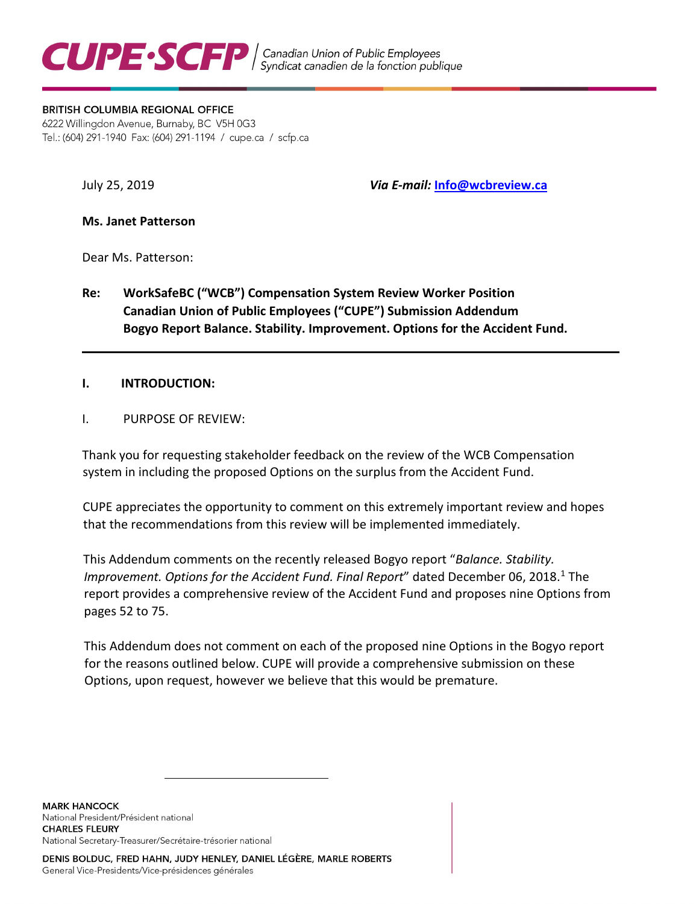

#### **BRITISH COLUMBIA REGIONAL OFFICE**

6222 Willingdon Avenue, Burnaby, BC V5H 0G3 Tel.: (604) 291-1940 Fax: (604) 291-1194 / cupe.ca / scfp.ca

July 25, 2019 *Via E-mail:* **Info@wcbreview.ca**

**Ms. Janet Patterson** 

Dear Ms. Patterson:

**Re: WorkSafeBC ("WCB") Compensation System Review Worker Position Canadian Union of Public Employees ("CUPE") Submission Addendum Bogyo Report Balance. Stability. Improvement. Options for the Accident Fund.** 

### **I. INTRODUCTION:**

I. PURPOSE OF REVIEW:

Thank you for requesting stakeholder feedback on the review of the WCB Compensation system in including the proposed Options on the surplus from the Accident Fund.

CUPE appreciates the opportunity to comment on this extremely important review and hopes that the recommendations from this review will be implemented immediately.

This Addendum comments on the recently released Bogyo report "*Balance. Stability. Improvement. Options for the Accident Fund. Final Report"* dated December 06, 20[1](#page-0-0)8.<sup>1</sup> The report provides a comprehensive review of the Accident Fund and proposes nine Options from pages 52 to 75.

This Addendum does not comment on each of the proposed nine Options in the Bogyo report for the reasons outlined below. CUPE will provide a comprehensive submission on these Options, upon request, however we believe that this would be premature.

<span id="page-0-0"></span>**MARK HANCOCK** National President/Président national **CHARLES FLEURY** National Secretary-Treasurer/Secrétaire-trésorier national

 $\overline{a}$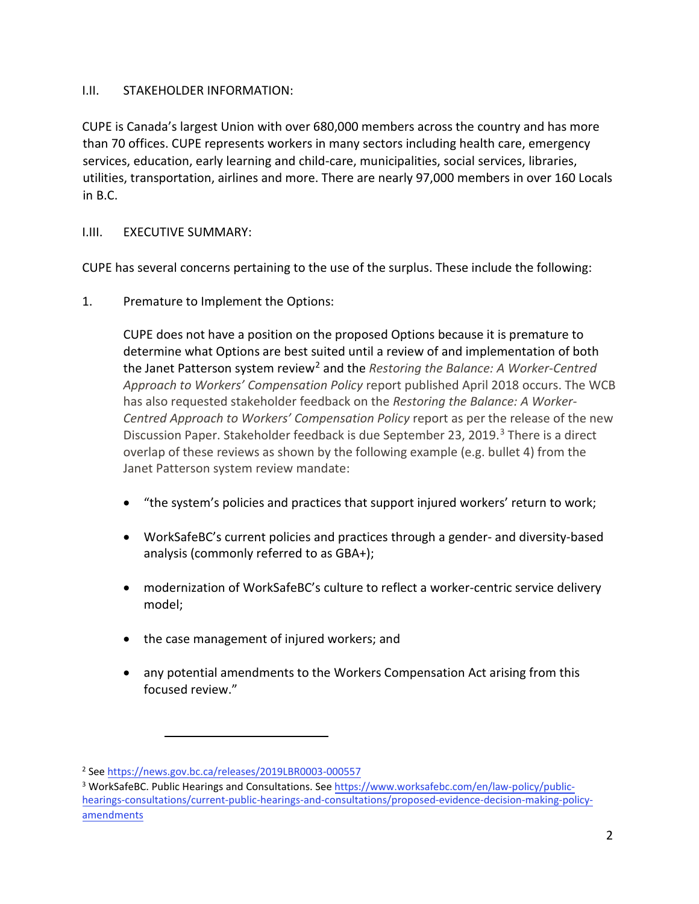## I.II. STAKEHOLDER INFORMATION:

CUPE is Canada's largest Union with over 680,000 members across the country and has more than 70 offices. CUPE represents workers in many sectors including health care, emergency services, education, early learning and child-care, municipalities, social services, libraries, utilities, transportation, airlines and more. There are nearly 97,000 members in over 160 Locals in B.C.

# I.III. EXECUTIVE SUMMARY:

CUPE has several concerns pertaining to the use of the surplus. These include the following:

1. Premature to Implement the Options:

CUPE does not have a position on the proposed Options because it is premature to determine what Options are best suited until a review of and implementation of both the Janet Patterson system review<sup>[2](#page-1-0)</sup> and the *Restoring the Balance: A Worker-Centred Approach to Workers' Compensation Policy* report published April 2018 occurs. The WCB has also requested stakeholder feedback on the *Restoring the Balance: A Worker-Centred Approach to Workers' Compensation Policy* report as per the release of the new Discussion Paper. Stakeholder feedback is due September 2[3](#page-1-1), 2019.<sup>3</sup> There is a direct overlap of these reviews as shown by the following example (e.g. bullet 4) from the Janet Patterson system review mandate:

- "the system's policies and practices that support injured workers' return to work;
- WorkSafeBC's current policies and practices through a gender- and diversity-based analysis (commonly referred to as GBA+);
- modernization of WorkSafeBC's culture to reflect a worker-centric service delivery model;
- the case management of injured workers; and
- any potential amendments to the Workers Compensation Act arising from this focused review."

<span id="page-1-0"></span><sup>&</sup>lt;sup>2</sup> See<https://news.gov.bc.ca/releases/2019LBR0003-000557>

<span id="page-1-1"></span><sup>&</sup>lt;sup>3</sup> WorkSafeBC. Public Hearings and Consultations. See [https://www.worksafebc.com/en/law-policy/public](https://www.worksafebc.com/en/law-policy/public-hearings-consultations/current-public-hearings-and-consultations/proposed-evidence-decision-making-policy-amendments)[hearings-consultations/current-public-hearings-and-consultations/proposed-evidence-decision-making-policy](https://www.worksafebc.com/en/law-policy/public-hearings-consultations/current-public-hearings-and-consultations/proposed-evidence-decision-making-policy-amendments)[amendments](https://www.worksafebc.com/en/law-policy/public-hearings-consultations/current-public-hearings-and-consultations/proposed-evidence-decision-making-policy-amendments)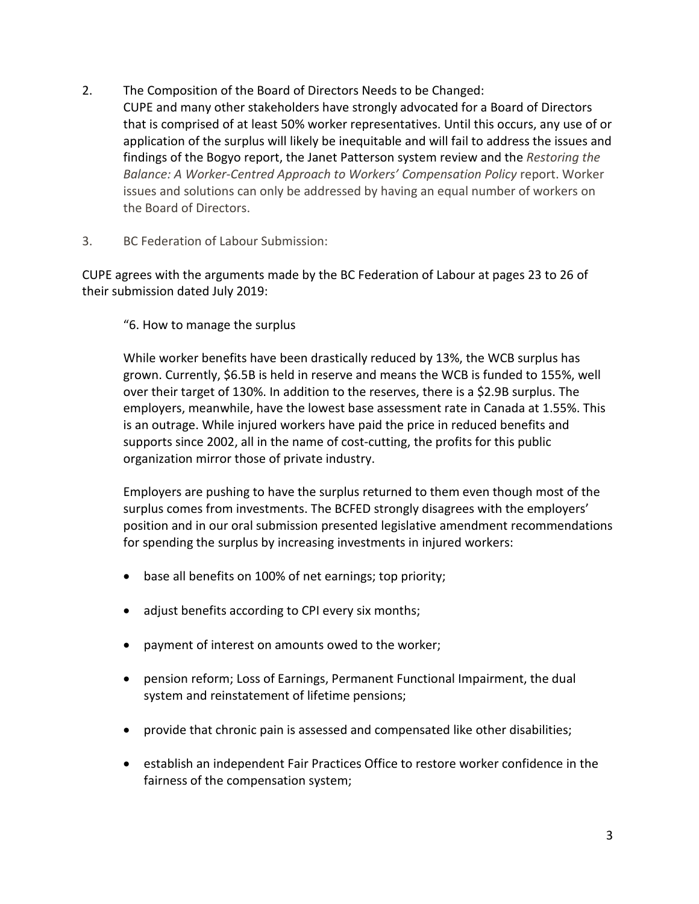- 2. The Composition of the Board of Directors Needs to be Changed: CUPE and many other stakeholders have strongly advocated for a Board of Directors that is comprised of at least 50% worker representatives. Until this occurs, any use of or application of the surplus will likely be inequitable and will fail to address the issues and findings of the Bogyo report, the Janet Patterson system review and the *Restoring the Balance: A Worker-Centred Approach to Workers' Compensation Policy* report. Worker issues and solutions can only be addressed by having an equal number of workers on the Board of Directors.
- 3. BC Federation of Labour Submission:

CUPE agrees with the arguments made by the BC Federation of Labour at pages 23 to 26 of their submission dated July 2019:

"6. How to manage the surplus

While worker benefits have been drastically reduced by 13%, the WCB surplus has grown. Currently, \$6.5B is held in reserve and means the WCB is funded to 155%, well over their target of 130%. In addition to the reserves, there is a \$2.9B surplus. The employers, meanwhile, have the lowest base assessment rate in Canada at 1.55%. This is an outrage. While injured workers have paid the price in reduced benefits and supports since 2002, all in the name of cost-cutting, the profits for this public organization mirror those of private industry.

Employers are pushing to have the surplus returned to them even though most of the surplus comes from investments. The BCFED strongly disagrees with the employers' position and in our oral submission presented legislative amendment recommendations for spending the surplus by increasing investments in injured workers:

- base all benefits on 100% of net earnings; top priority;
- adjust benefits according to CPI every six months;
- payment of interest on amounts owed to the worker;
- pension reform; Loss of Earnings, Permanent Functional Impairment, the dual system and reinstatement of lifetime pensions;
- provide that chronic pain is assessed and compensated like other disabilities;
- establish an independent Fair Practices Office to restore worker confidence in the fairness of the compensation system;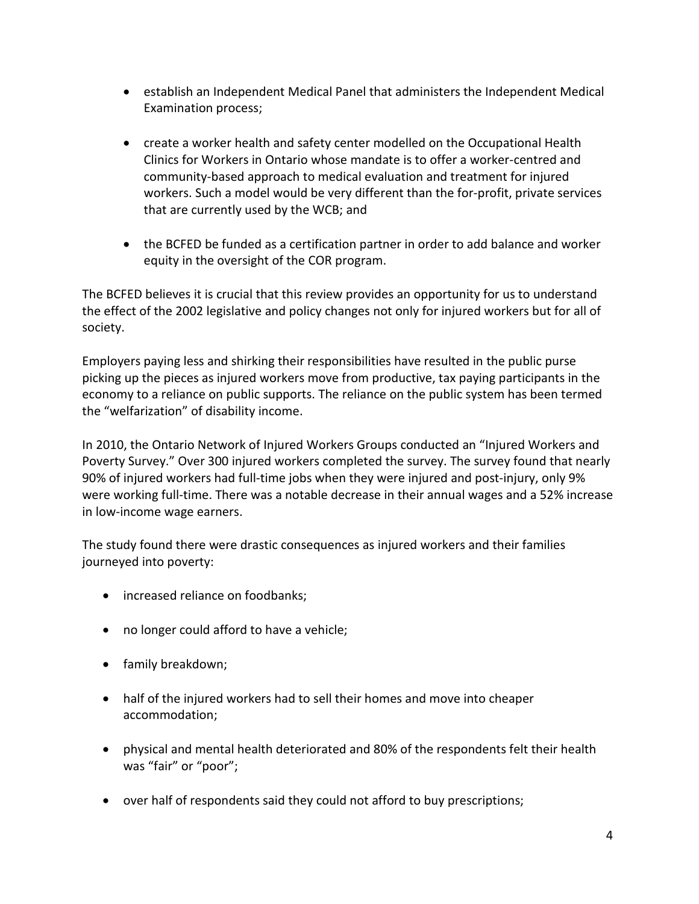- establish an Independent Medical Panel that administers the Independent Medical Examination process;
- create a worker health and safety center modelled on the Occupational Health Clinics for Workers in Ontario whose mandate is to offer a worker-centred and community-based approach to medical evaluation and treatment for injured workers. Such a model would be very different than the for-profit, private services that are currently used by the WCB; and
- the BCFED be funded as a certification partner in order to add balance and worker equity in the oversight of the COR program.

The BCFED believes it is crucial that this review provides an opportunity for us to understand the effect of the 2002 legislative and policy changes not only for injured workers but for all of society.

Employers paying less and shirking their responsibilities have resulted in the public purse picking up the pieces as injured workers move from productive, tax paying participants in the economy to a reliance on public supports. The reliance on the public system has been termed the "welfarization" of disability income.

In 2010, the Ontario Network of Injured Workers Groups conducted an "Injured Workers and Poverty Survey." Over 300 injured workers completed the survey. The survey found that nearly 90% of injured workers had full-time jobs when they were injured and post-injury, only 9% were working full-time. There was a notable decrease in their annual wages and a 52% increase in low-income wage earners.

The study found there were drastic consequences as injured workers and their families journeyed into poverty:

- increased reliance on foodbanks;
- no longer could afford to have a vehicle;
- family breakdown;
- half of the injured workers had to sell their homes and move into cheaper accommodation;
- physical and mental health deteriorated and 80% of the respondents felt their health was "fair" or "poor";
- over half of respondents said they could not afford to buy prescriptions;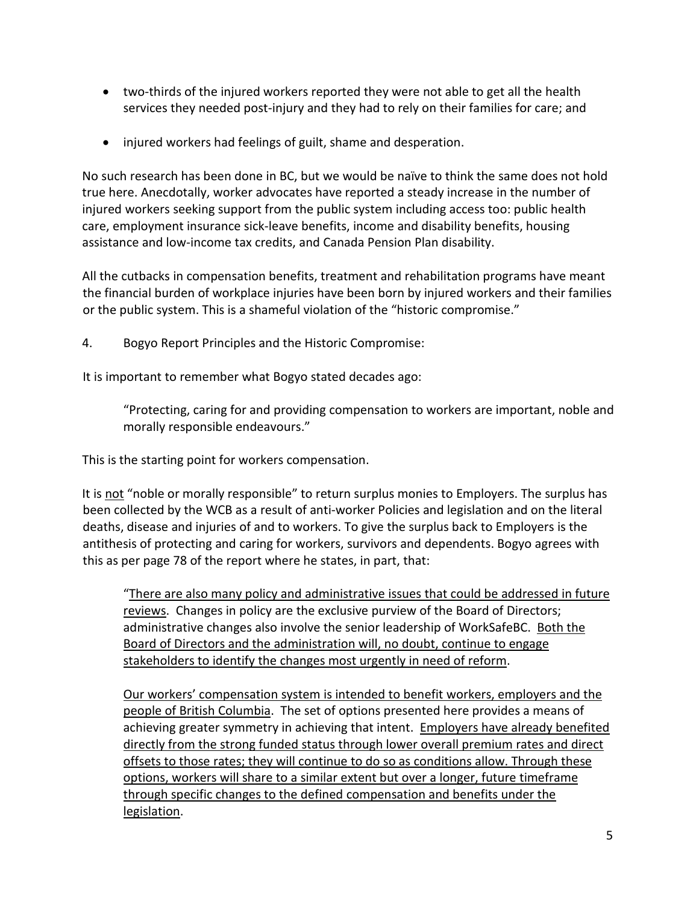- two-thirds of the injured workers reported they were not able to get all the health services they needed post-injury and they had to rely on their families for care; and
- injured workers had feelings of guilt, shame and desperation.

No such research has been done in BC, but we would be naïve to think the same does not hold true here. Anecdotally, worker advocates have reported a steady increase in the number of injured workers seeking support from the public system including access too: public health care, employment insurance sick-leave benefits, income and disability benefits, housing assistance and low-income tax credits, and Canada Pension Plan disability.

All the cutbacks in compensation benefits, treatment and rehabilitation programs have meant the financial burden of workplace injuries have been born by injured workers and their families or the public system. This is a shameful violation of the "historic compromise."

4. Bogyo Report Principles and the Historic Compromise:

It is important to remember what Bogyo stated decades ago:

"Protecting, caring for and providing compensation to workers are important, noble and morally responsible endeavours."

This is the starting point for workers compensation.

It is not "noble or morally responsible" to return surplus monies to Employers. The surplus has been collected by the WCB as a result of anti-worker Policies and legislation and on the literal deaths, disease and injuries of and to workers. To give the surplus back to Employers is the antithesis of protecting and caring for workers, survivors and dependents. Bogyo agrees with this as per page 78 of the report where he states, in part, that:

"There are also many policy and administrative issues that could be addressed in future reviews. Changes in policy are the exclusive purview of the Board of Directors; administrative changes also involve the senior leadership of WorkSafeBC. Both the Board of Directors and the administration will, no doubt, continue to engage stakeholders to identify the changes most urgently in need of reform.

Our workers' compensation system is intended to benefit workers, employers and the people of British Columbia. The set of options presented here provides a means of achieving greater symmetry in achieving that intent. Employers have already benefited directly from the strong funded status through lower overall premium rates and direct offsets to those rates; they will continue to do so as conditions allow. Through these options, workers will share to a similar extent but over a longer, future timeframe through specific changes to the defined compensation and benefits under the legislation.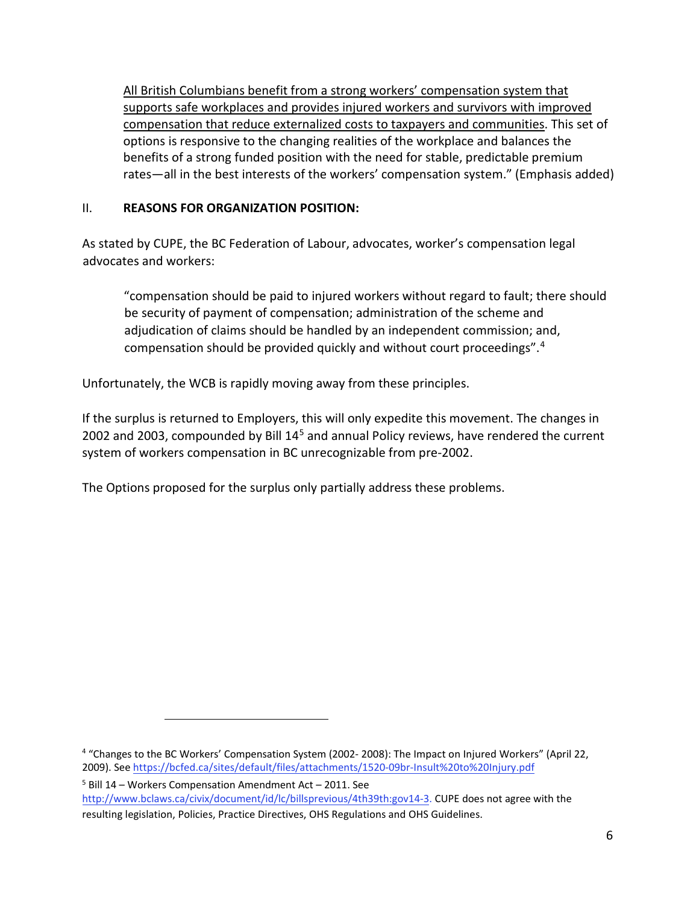All British Columbians benefit from a strong workers' compensation system that supports safe workplaces and provides injured workers and survivors with improved compensation that reduce externalized costs to taxpayers and communities. This set of options is responsive to the changing realities of the workplace and balances the benefits of a strong funded position with the need for stable, predictable premium rates—all in the best interests of the workers' compensation system." (Emphasis added)

# II. **REASONS FOR ORGANIZATION POSITION:**

As stated by CUPE, the BC Federation of Labour, advocates, worker's compensation legal advocates and workers:

"compensation should be paid to injured workers without regard to fault; there should be security of payment of compensation; administration of the scheme and adjudication of claims should be handled by an independent commission; and, compensation should be provided quickly and without court proceedings".[4](#page-5-0)

Unfortunately, the WCB is rapidly moving away from these principles.

If the surplus is returned to Employers, this will only expedite this movement. The changes in 2002 and 2003, compounded by Bill 14<sup>[5](#page-5-1)</sup> and annual Policy reviews, have rendered the current system of workers compensation in BC unrecognizable from pre-2002.

The Options proposed for the surplus only partially address these problems.

<span id="page-5-0"></span><sup>&</sup>lt;sup>4</sup> "Changes to the BC Workers' Compensation System (2002-2008): The Impact on Injured Workers" (April 22, 2009). See <https://bcfed.ca/sites/default/files/attachments/1520-09br-Insult%20to%20Injury.pdf>

<span id="page-5-1"></span><sup>5</sup> Bill 14 – Workers Compensation Amendment Act – 2011. See

[http://www.bclaws.ca/civix/document/id/lc/billsprevious/4th39th:gov14-3.](http://www.bclaws.ca/civix/document/id/lc/billsprevious/4th39th:gov14-3) CUPE does not agree with the resulting legislation, Policies, Practice Directives, OHS Regulations and OHS Guidelines.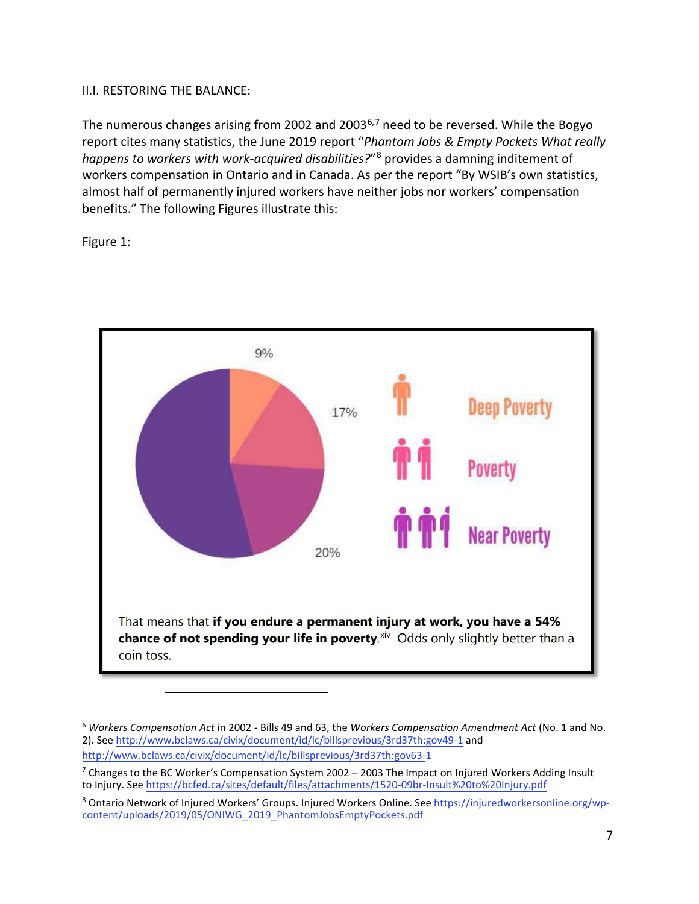### II.I. RESTORING THE BALANCE:

The numerous changes arising from 2002 and 2003<sup>[6](#page-6-0),[7](#page-6-1)</sup> need to be reversed. While the Bogyo report cites many statistics, the June 2019 report "*Phantom Jobs & Empty Pockets What really happens to workers with work-acquired disabilities?*"[8](#page-6-2) provides a damning inditement of workers compensation in Ontario and in Canada. As per the report "By WSIB's own statistics, almost half of permanently injured workers have neither jobs nor workers' compensation benefits." The following Figures illustrate this:

Figure 1:



<span id="page-6-0"></span><sup>6</sup> *Workers Compensation Act* in 2002 - Bills 49 and 63, the *Workers Compensation Amendment Act* (No. 1 and No. 2). See <http://www.bclaws.ca/civix/document/id/lc/billsprevious/3rd37th:gov49-1> [an](http://www.bclaws.ca/civix/document/id/lc/billsprevious/3rd37th:gov49-1)d <http://www.bclaws.ca/civix/document/id/lc/billsprevious/3rd37th:gov63-1>

<span id="page-6-1"></span><sup>7</sup> Changes to the BC Worker's Compensation System 2002 – 2003 The Impact on Injured Workers Adding Insult to Injury. See <https://bcfed.ca/sites/default/files/attachments/1520-09br-Insult%20to%20Injury.pdf>

<span id="page-6-2"></span><sup>&</sup>lt;sup>8</sup> Ontario Network of Injured Workers' Groups. Injured Workers Online. See [https://injuredworkersonline.org/wp](https://injuredworkersonline.org/wp-content/uploads/2019/05/ONIWG_2019_PhantomJobsEmptyPockets.pdf)[content/uploads/2019/05/ONIWG\\_2019\\_PhantomJobsEmptyPockets.pdf](https://injuredworkersonline.org/wp-content/uploads/2019/05/ONIWG_2019_PhantomJobsEmptyPockets.pdf)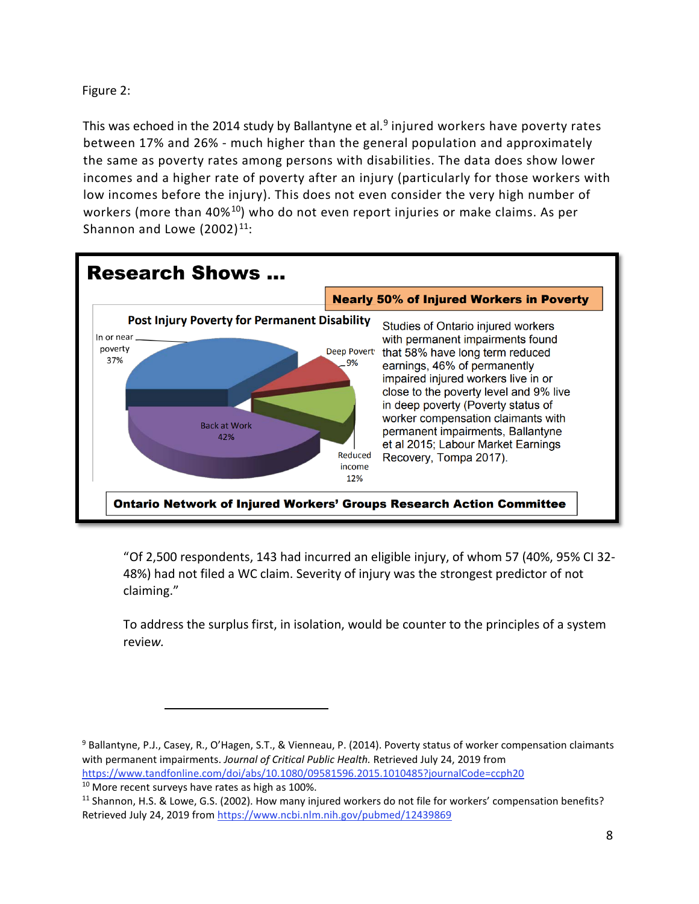Figure 2:

This was echoed in the 2014 study by Ballantyne et al.<sup>[9](#page-7-0)</sup> injured workers have poverty rates between 17% and 26% - much higher than the general population and approximately the same as poverty rates among persons with disabilities. The data does show lower incomes and a higher rate of poverty after an injury (particularly for those workers with low incomes before the injury). This does not even consider the very high number of workers (more than 40%<sup>10</sup>) who do not even report injuries or make claims. As per Shannon and Lowe  $(2002)^{11}$ :



"Of 2,500 respondents, 143 had incurred an eligible injury, of whom 57 (40%, 95% CI 32- 48%) had not filed a WC claim. Severity of injury was the strongest predictor of not claiming."

To address the surplus first, in isolation, would be counter to the principles of a system revie*w.* 

<span id="page-7-0"></span><sup>9</sup> Ballantyne, P.J., Casey, R., O'Hagen, S.T., & Vienneau, P. (2014). Poverty status of worker compensation claimants with permanent impairments. *Journal of Critical Public Health.* Retrieved July 24, 2019 from <https://www.tandfonline.com/doi/abs/10.1080/09581596.2015.1010485?journalCode=ccph20>

<span id="page-7-2"></span><span id="page-7-1"></span><sup>&</sup>lt;sup>10</sup> More recent surveys have rates as high as 100%.<br><sup>11</sup> Shannon, H.S. & Lowe, G.S. (2002). How many injured workers do not file for workers' compensation benefits? Retrieved July 24, 2019 from <https://www.ncbi.nlm.nih.gov/pubmed/12439869>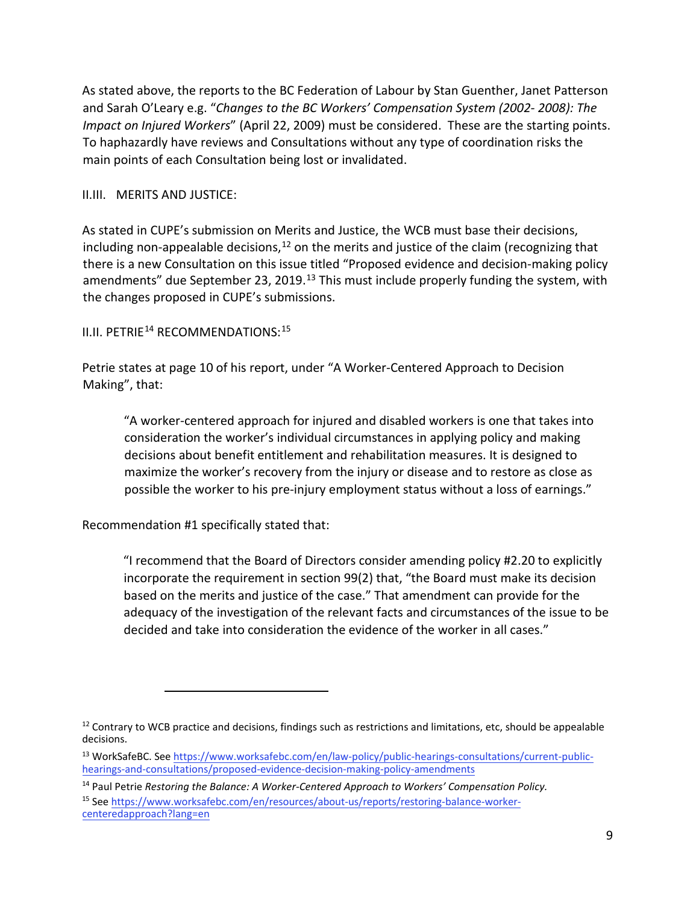As stated above, the reports to the BC Federation of Labour by Stan Guenther, Janet Patterson and Sarah O'Leary e.g. "*[Changes to the BC Workers' Compensation System \(2002- 2008\): The](http://bcfed.ca/sites/default/files/attachments/1520-09br-Insult%20to%20Injury.pdf)  [Impact on Injured Workers](http://bcfed.ca/sites/default/files/attachments/1520-09br-Insult%20to%20Injury.pdf)*["](http://bcfed.ca/sites/default/files/attachments/1520-09br-Insult%20to%20Injury.pdf) (April 22, 2009) must be considered. These are the starting points. To haphazardly have reviews and Consultations without any type of coordination risks the main points of each Consultation being lost or invalidated.

### II.III. MERITS AND JUSTICE:

As stated in CUPE's submission on Merits and Justice, the WCB must base their decisions, including non-appealable decisions,  $12$  on the merits and justice of the claim (recognizing that there is a new Consultation on this issue titled "Proposed evidence and decision-making policy amendments" due September 23, 2019.<sup>[13](#page-8-1)</sup> This must include properly funding the system, with the changes proposed in CUPE's submissions.

II.II. PETRIE<sup>[14](#page-8-2)</sup> RECOMMENDATIONS:<sup>[15](#page-8-3)</sup>

Petrie states at page 10 of his report, under "A Worker-Centered Approach to Decision Making", that:

"A worker-centered approach for injured and disabled workers is one that takes into consideration the worker's individual circumstances in applying policy and making decisions about benefit entitlement and rehabilitation measures. It is designed to maximize the worker's recovery from the injury or disease and to restore as close as possible the worker to his pre-injury employment status without a loss of earnings."

Recommendation #1 specifically stated that:

"I recommend that the Board of Directors consider amending policy #2.20 to explicitly incorporate the requirement in section 99(2) that, "the Board must make its decision based on the merits and justice of the case." That amendment can provide for the adequacy of the investigation of the relevant facts and circumstances of the issue to be decided and take into consideration the evidence of the worker in all cases."

[centeredapproach?lang=en](https://www.worksafebc.com/en/resources/about-us/reports/restoring-balance-worker-centered-approach?lang=en) 

<span id="page-8-0"></span> $12$  Contrary to WCB practice and decisions, findings such as restrictions and limitations, etc, should be appealable decisions.

<span id="page-8-1"></span><sup>13</sup> WorkSafeBC. See [https://www.worksafebc.com/en/law-policy/public-hearings-consultations/current-public](https://www.worksafebc.com/en/law-policy/public-hearings-consultations/current-public-hearings-and-consultations/proposed-evidence-decision-making-policy-amendments)[hearings-and-consultations/proposed-evidence-decision-making-policy-amendments](https://www.worksafebc.com/en/law-policy/public-hearings-consultations/current-public-hearings-and-consultations/proposed-evidence-decision-making-policy-amendments)

<span id="page-8-3"></span><span id="page-8-2"></span><sup>&</sup>lt;sup>14</sup> Paul Petrie *Restoring the Balance: A Worker-Centered Approach to Workers' Compensation [Policy.](https://www.worksafebc.com/en/resources/about-us/reports/restoring-balance-worker-centered-approach?lang=en)* <sup>15</sup> [See https://www.worksafebc.com/en/resources/about-us/reports/restoring-balance-worker-](https://www.worksafebc.com/en/resources/about-us/reports/restoring-balance-worker-centered-approach?lang=en)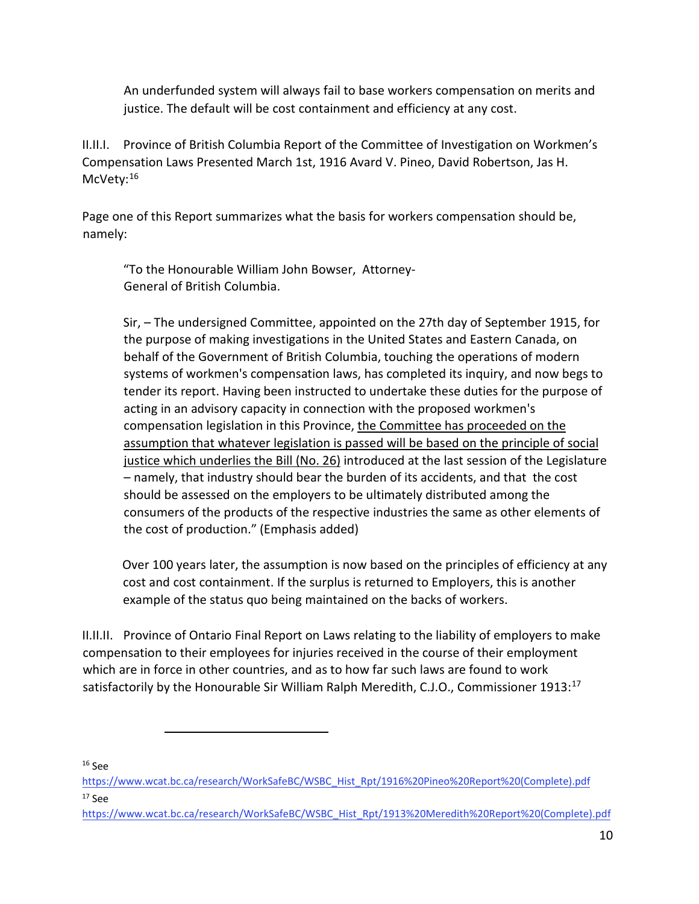An underfunded system will always fail to base workers compensation on merits and justice. The default will be cost containment and efficiency at any cost.

II.II.I. Province of British Columbia Report of the Committee of Investigation on Workmen's Compensation Laws Presented March 1st, 1916 Avard V. Pineo, David Robertson, Jas H. McVety:<sup>[16](#page-9-0)</sup>

Page one of this Report summarizes what the basis for workers compensation should be, namely:

"To the Honourable William John Bowser, Attorney-General of British Columbia.

Sir, – The undersigned Committee, appointed on the 27th day of September 1915, for the purpose of making investigations in the United States and Eastern Canada, on behalf of the Government of British Columbia, touching the operations of modern systems of workmen's compensation laws, has completed its inquiry, and now begs to tender its report. Having been instructed to undertake these duties for the purpose of acting in an advisory capacity in connection with the proposed workmen's compensation legislation in this Province, the Committee has proceeded on the assumption that whatever legislation is passed will be based on the principle of social justice which underlies the Bill (No. 26) introduced at the last session of the Legislature – namely, that industry should bear the burden of its accidents, and that the cost should be assessed on the employers to be ultimately distributed among the consumers of the products of the respective industries the same as other elements of the cost of production." (Emphasis added)

Over 100 years later, the assumption is now based on the principles of efficiency at any cost and cost containment. If the surplus is returned to Employers, this is another example of the status quo being maintained on the backs of workers.

II.II.II. Province of Ontario Final Report on Laws relating to the liability of employers to make compensation to their employees for injuries received in the course of their employment which are in force in other countries, and as to how far such laws are found to work satisfactorily by the Honourable Sir William Ralph Meredith, C.J.O., Commissioner 1913:[17](#page-9-1)

<span id="page-9-0"></span> $16$  Sρρ

[https://www.wcat.bc.ca/research/WorkSafeBC/WSBC\\_Hist\\_Rpt/1916%20Pineo%20Report%20\(Complete\).pdf](https://www.wcat.bc.ca/research/WorkSafeBC/WSBC_Hist_Rpt/1916%20Pineo%20Report%20(Complete).pdf)  <sup>17</sup> S[ee](https://www.wcat.bc.ca/research/WorkSafeBC/WSBC_Hist_Rpt/1913%20Meredith%20Report%20(Complete).pdf) 

<span id="page-9-1"></span>[https://www.wcat.bc.ca/research/WorkSafeBC/WSBC\\_Hist\\_Rpt/1913%20Meredith%20Report%20\(Complete\).pdf](https://www.wcat.bc.ca/research/WorkSafeBC/WSBC_Hist_Rpt/1913%20Meredith%20Report%20(Complete).pdf)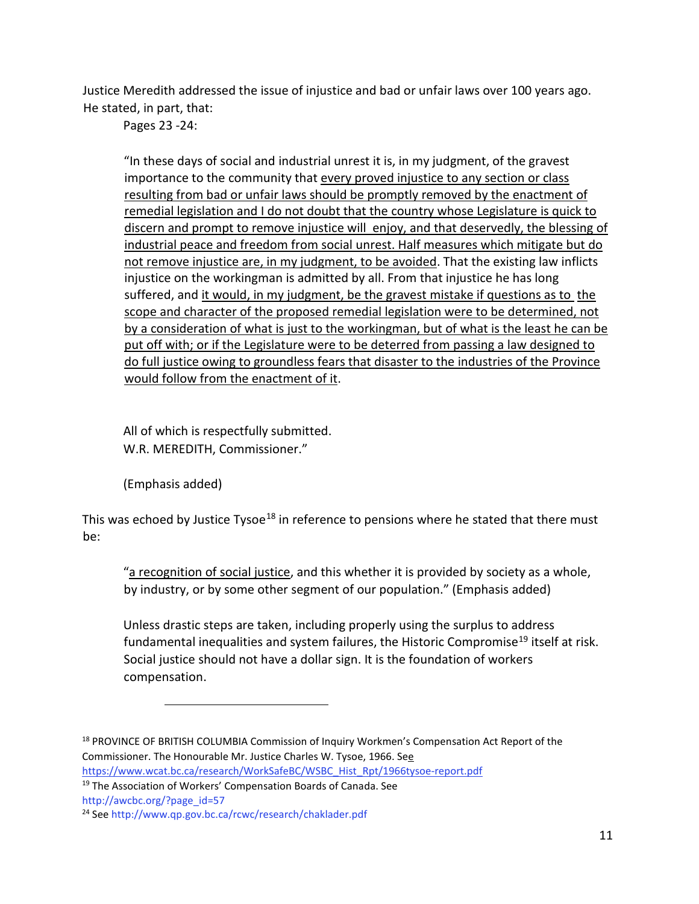Justice Meredith addressed the issue of injustice and bad or unfair laws over 100 years ago. He stated, in part, that:

Pages 23 -24:

"In these days of social and industrial unrest it is, in my judgment, of the gravest importance to the community that every proved injustice to any section or class resulting from bad or unfair laws should be promptly removed by the enactment of remedial legislation and I do not doubt that the country whose Legislature is quick to discern and prompt to remove injustice will enjoy, and that deservedly, the blessing of industrial peace and freedom from social unrest. Half measures which mitigate but do not remove injustice are, in my judgment, to be avoided. That the existing law inflicts injustice on the workingman is admitted by all. From that injustice he has long suffered, and it would, in my judgment, be the gravest mistake if questions as to the scope and character of the proposed remedial legislation were to be determined, not by a consideration of what is just to the workingman, but of what is the least he can be put off with; or if the Legislature were to be deterred from passing a law designed to do full justice owing to groundless fears that disaster to the industries of the Province would follow from the enactment of it.

All of which is respectfully submitted. W.R. MEREDITH, Commissioner."

(Emphasis added)

This was echoed by Justice Tysoe<sup>[18](#page-10-0)</sup> in reference to pensions where he stated that there must be:

"a recognition of social justice, and this whether it is provided by society as a whole, by industry, or by some other segment of our population." (Emphasis added)

Unless drastic steps are taken, including properly using the surplus to address fundamental inequalities and system failures, the Historic Compromise<sup>[19](#page-10-1)</sup> itself at risk. Social justice should not have a dollar sign. It is the foundation of workers compensation.

[http://awcbc.org/?page\\_id=57](http://awcbc.org/?page_id=57)

<span id="page-10-0"></span><sup>&</sup>lt;sup>18</sup> PROVINCE OF BRITISH COLUMBIA Commission of Inquiry Workmen's Compensation Act Report of the Commissioner. The Honourable Mr. Justice Charles W. Tysoe, 1966. S[ee](https://www.wcat.bc.ca/research/WorkSafeBC/WSBC_Hist_Rpt/1966-tysoe-report.pdf) 

[https://www.wcat.bc.ca/research/WorkSafeBC/WSBC\\_Hist\\_Rpt/1966tysoe-report.pdf](https://www.wcat.bc.ca/research/WorkSafeBC/WSBC_Hist_Rpt/1966-tysoe-report.pdf)

<span id="page-10-1"></span><sup>&</sup>lt;sup>19</sup> The Association of Workers' Compensation Boards of Canada. See

<sup>24</sup> S[ee http://www.qp.gov.bc.ca/rcwc/research/chaklader.pdf](http://www.qp.gov.bc.ca/rcwc/research/chaklader.pdf)